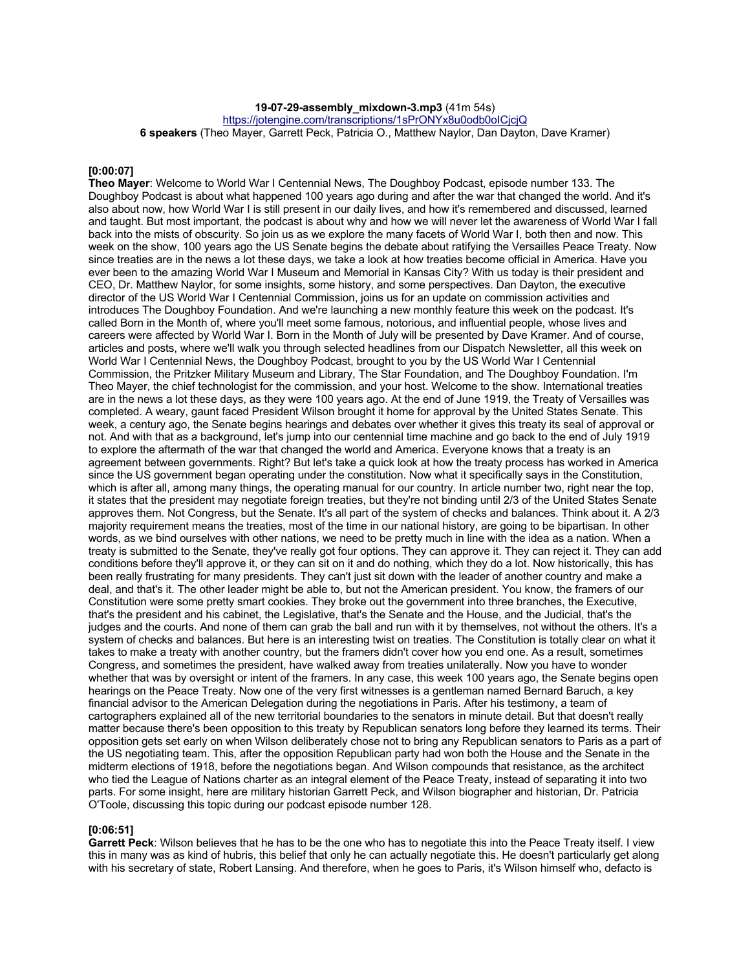**19-07-29-assembly\_mixdown-3.mp3** (41m 54s)

https://jotengine.com/transcriptions/1sPrONYx8u0odb0olCiciQ

**6 speakers** (Theo Mayer, Garrett Peck, Patricia O., Matthew Naylor, Dan Dayton, Dave Kramer)

#### **[0:00:07]**

**Theo Mayer**: Welcome to World War I Centennial News, The Doughboy Podcast, episode number 133. The Doughboy Podcast is about what happened 100 years ago during and after the war that changed the world. And it's also about now, how World War I is still present in our daily lives, and how it's remembered and discussed, learned and taught. But most important, the podcast is about why and how we will never let the awareness of World War I fall back into the mists of obscurity. So join us as we explore the many facets of World War I, both then and now. This week on the show, 100 years ago the US Senate begins the debate about ratifying the Versailles Peace Treaty. Now since treaties are in the news a lot these days, we take a look at how treaties become official in America. Have you ever been to the amazing World War I Museum and Memorial in Kansas City? With us today is their president and CEO, Dr. Matthew Naylor, for some insights, some history, and some perspectives. Dan Dayton, the executive director of the US World War I Centennial Commission, joins us for an update on commission activities and introduces The Doughboy Foundation. And we're launching a new monthly feature this week on the podcast. It's called Born in the Month of, where you'll meet some famous, notorious, and influential people, whose lives and careers were affected by World War I. Born in the Month of July will be presented by Dave Kramer. And of course, articles and posts, where we'll walk you through selected headlines from our Dispatch Newsletter, all this week on World War I Centennial News, the Doughboy Podcast, brought to you by the US World War I Centennial Commission, the Pritzker Military Museum and Library, The Star Foundation, and The Doughboy Foundation. I'm Theo Mayer, the chief technologist for the commission, and your host. Welcome to the show. International treaties are in the news a lot these days, as they were 100 years ago. At the end of June 1919, the Treaty of Versailles was completed. A weary, gaunt faced President Wilson brought it home for approval by the United States Senate. This week, a century ago, the Senate begins hearings and debates over whether it gives this treaty its seal of approval or not. And with that as a background, let's jump into our centennial time machine and go back to the end of July 1919 to explore the aftermath of the war that changed the world and America. Everyone knows that a treaty is an agreement between governments. Right? But let's take a quick look at how the treaty process has worked in America since the US government began operating under the constitution. Now what it specifically says in the Constitution, which is after all, among many things, the operating manual for our country. In article number two, right near the top, it states that the president may negotiate foreign treaties, but they're not binding until 2/3 of the United States Senate approves them. Not Congress, but the Senate. It's all part of the system of checks and balances. Think about it. A 2/3 majority requirement means the treaties, most of the time in our national history, are going to be bipartisan. In other words, as we bind ourselves with other nations, we need to be pretty much in line with the idea as a nation. When a treaty is submitted to the Senate, they've really got four options. They can approve it. They can reject it. They can add conditions before they'll approve it, or they can sit on it and do nothing, which they do a lot. Now historically, this has been really frustrating for many presidents. They can't just sit down with the leader of another country and make a deal, and that's it. The other leader might be able to, but not the American president. You know, the framers of our Constitution were some pretty smart cookies. They broke out the government into three branches, the Executive, that's the president and his cabinet, the Legislative, that's the Senate and the House, and the Judicial, that's the judges and the courts. And none of them can grab the ball and run with it by themselves, not without the others. It's a system of checks and balances. But here is an interesting twist on treaties. The Constitution is totally clear on what it takes to make a treaty with another country, but the framers didn't cover how you end one. As a result, sometimes Congress, and sometimes the president, have walked away from treaties unilaterally. Now you have to wonder whether that was by oversight or intent of the framers. In any case, this week 100 years ago, the Senate begins open hearings on the Peace Treaty. Now one of the very first witnesses is a gentleman named Bernard Baruch, a key financial advisor to the American Delegation during the negotiations in Paris. After his testimony, a team of cartographers explained all of the new territorial boundaries to the senators in minute detail. But that doesn't really matter because there's been opposition to this treaty by Republican senators long before they learned its terms. Their opposition gets set early on when Wilson deliberately chose not to bring any Republican senators to Paris as a part of the US negotiating team. This, after the opposition Republican party had won both the House and the Senate in the midterm elections of 1918, before the negotiations began. And Wilson compounds that resistance, as the architect who tied the League of Nations charter as an integral element of the Peace Treaty, instead of separating it into two parts. For some insight, here are military historian Garrett Peck, and Wilson biographer and historian, Dr. Patricia O'Toole, discussing this topic during our podcast episode number 128.

## **[0:06:51]**

**Garrett Peck**: Wilson believes that he has to be the one who has to negotiate this into the Peace Treaty itself. I view this in many was as kind of hubris, this belief that only he can actually negotiate this. He doesn't particularly get along with his secretary of state, Robert Lansing. And therefore, when he goes to Paris, it's Wilson himself who, defacto is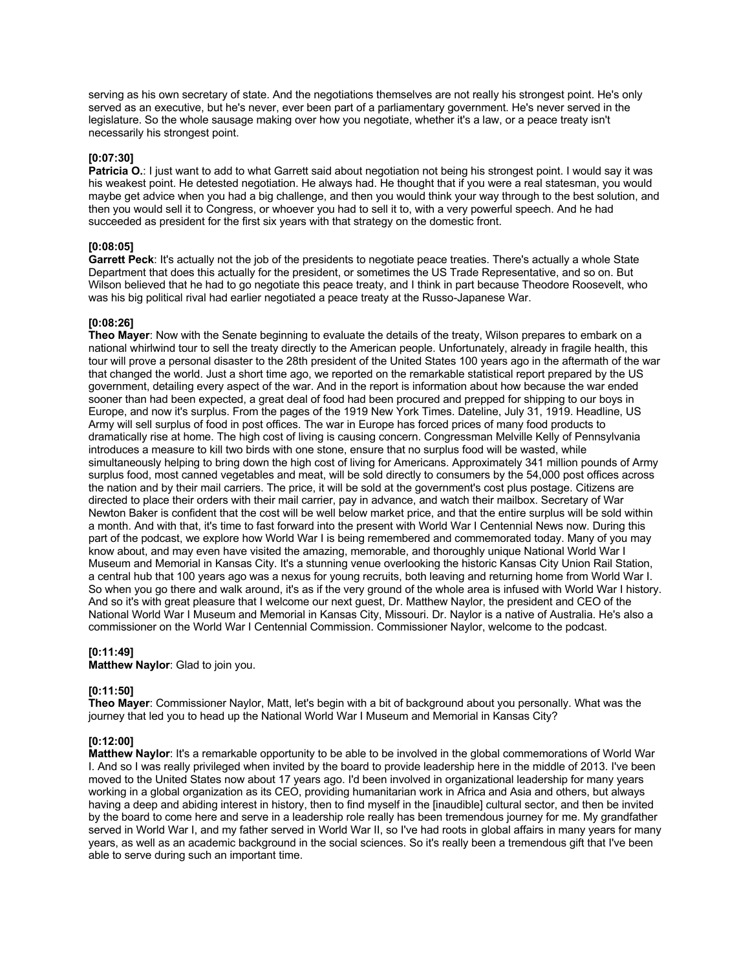serving as his own secretary of state. And the negotiations themselves are not really his strongest point. He's only served as an executive, but he's never, ever been part of a parliamentary government. He's never served in the legislature. So the whole sausage making over how you negotiate, whether it's a law, or a peace treaty isn't necessarily his strongest point.

## **[0:07:30]**

**Patricia O.**: I just want to add to what Garrett said about negotiation not being his strongest point. I would say it was his weakest point. He detested negotiation. He always had. He thought that if you were a real statesman, you would maybe get advice when you had a big challenge, and then you would think your way through to the best solution, and then you would sell it to Congress, or whoever you had to sell it to, with a very powerful speech. And he had succeeded as president for the first six years with that strategy on the domestic front.

# **[0:08:05]**

**Garrett Peck**: It's actually not the job of the presidents to negotiate peace treaties. There's actually a whole State Department that does this actually for the president, or sometimes the US Trade Representative, and so on. But Wilson believed that he had to go negotiate this peace treaty, and I think in part because Theodore Roosevelt, who was his big political rival had earlier negotiated a peace treaty at the Russo-Japanese War.

## **[0:08:26]**

**Theo Mayer**: Now with the Senate beginning to evaluate the details of the treaty, Wilson prepares to embark on a national whirlwind tour to sell the treaty directly to the American people. Unfortunately, already in fragile health, this tour will prove a personal disaster to the 28th president of the United States 100 years ago in the aftermath of the war that changed the world. Just a short time ago, we reported on the remarkable statistical report prepared by the US government, detailing every aspect of the war. And in the report is information about how because the war ended sooner than had been expected, a great deal of food had been procured and prepped for shipping to our boys in Europe, and now it's surplus. From the pages of the 1919 New York Times. Dateline, July 31, 1919. Headline, US Army will sell surplus of food in post offices. The war in Europe has forced prices of many food products to dramatically rise at home. The high cost of living is causing concern. Congressman Melville Kelly of Pennsylvania introduces a measure to kill two birds with one stone, ensure that no surplus food will be wasted, while simultaneously helping to bring down the high cost of living for Americans. Approximately 341 million pounds of Army surplus food, most canned vegetables and meat, will be sold directly to consumers by the 54,000 post offices across the nation and by their mail carriers. The price, it will be sold at the government's cost plus postage. Citizens are directed to place their orders with their mail carrier, pay in advance, and watch their mailbox. Secretary of War Newton Baker is confident that the cost will be well below market price, and that the entire surplus will be sold within a month. And with that, it's time to fast forward into the present with World War I Centennial News now. During this part of the podcast, we explore how World War I is being remembered and commemorated today. Many of you may know about, and may even have visited the amazing, memorable, and thoroughly unique National World War I Museum and Memorial in Kansas City. It's a stunning venue overlooking the historic Kansas City Union Rail Station, a central hub that 100 years ago was a nexus for young recruits, both leaving and returning home from World War I. So when you go there and walk around, it's as if the very ground of the whole area is infused with World War I history. And so it's with great pleasure that I welcome our next guest, Dr. Matthew Naylor, the president and CEO of the National World War I Museum and Memorial in Kansas City, Missouri. Dr. Naylor is a native of Australia. He's also a commissioner on the World War I Centennial Commission. Commissioner Naylor, welcome to the podcast.

## **[0:11:49]**

**Matthew Naylor**: Glad to join you.

## **[0:11:50]**

**Theo Mayer**: Commissioner Naylor, Matt, let's begin with a bit of background about you personally. What was the journey that led you to head up the National World War I Museum and Memorial in Kansas City?

## **[0:12:00]**

**Matthew Naylor**: It's a remarkable opportunity to be able to be involved in the global commemorations of World War I. And so I was really privileged when invited by the board to provide leadership here in the middle of 2013. I've been moved to the United States now about 17 years ago. I'd been involved in organizational leadership for many years working in a global organization as its CEO, providing humanitarian work in Africa and Asia and others, but always having a deep and abiding interest in history, then to find myself in the [inaudible] cultural sector, and then be invited by the board to come here and serve in a leadership role really has been tremendous journey for me. My grandfather served in World War I, and my father served in World War II, so I've had roots in global affairs in many years for many years, as well as an academic background in the social sciences. So it's really been a tremendous gift that I've been able to serve during such an important time.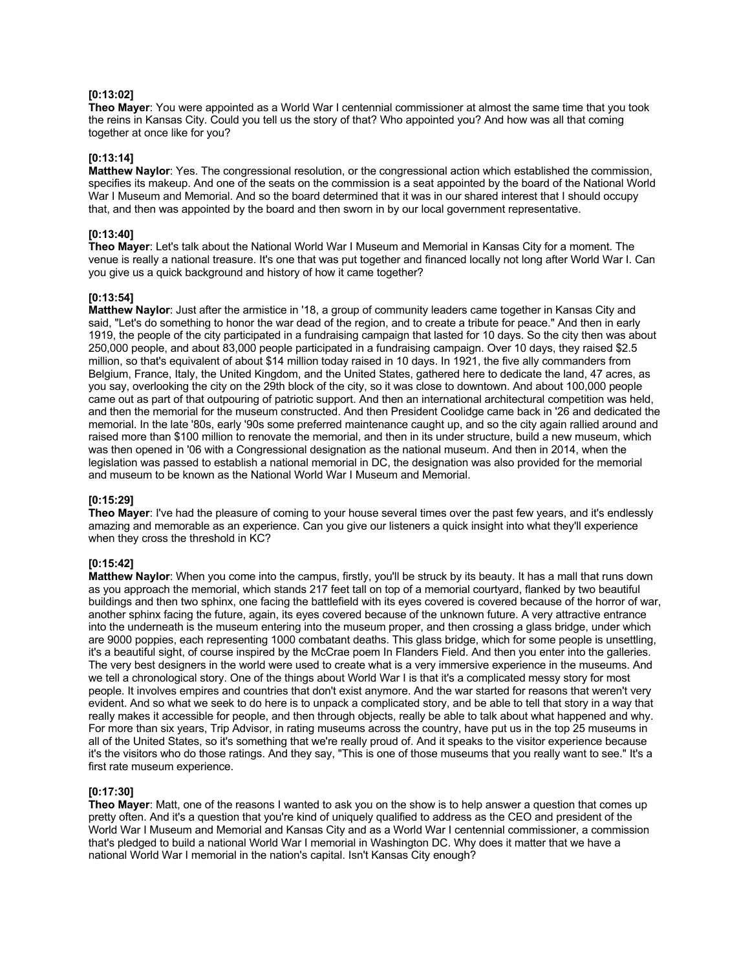## **[0:13:02]**

**Theo Mayer**: You were appointed as a World War I centennial commissioner at almost the same time that you took the reins in Kansas City. Could you tell us the story of that? Who appointed you? And how was all that coming together at once like for you?

## **[0:13:14]**

**Matthew Naylor**: Yes. The congressional resolution, or the congressional action which established the commission, specifies its makeup. And one of the seats on the commission is a seat appointed by the board of the National World War I Museum and Memorial. And so the board determined that it was in our shared interest that I should occupy that, and then was appointed by the board and then sworn in by our local government representative.

## **[0:13:40]**

**Theo Mayer**: Let's talk about the National World War I Museum and Memorial in Kansas City for a moment. The venue is really a national treasure. It's one that was put together and financed locally not long after World War I. Can you give us a quick background and history of how it came together?

#### **[0:13:54]**

**Matthew Naylor**: Just after the armistice in '18, a group of community leaders came together in Kansas City and said, "Let's do something to honor the war dead of the region, and to create a tribute for peace." And then in early 1919, the people of the city participated in a fundraising campaign that lasted for 10 days. So the city then was about 250,000 people, and about 83,000 people participated in a fundraising campaign. Over 10 days, they raised \$2.5 million, so that's equivalent of about \$14 million today raised in 10 days. In 1921, the five ally commanders from Belgium, France, Italy, the United Kingdom, and the United States, gathered here to dedicate the land, 47 acres, as you say, overlooking the city on the 29th block of the city, so it was close to downtown. And about 100,000 people came out as part of that outpouring of patriotic support. And then an international architectural competition was held, and then the memorial for the museum constructed. And then President Coolidge came back in '26 and dedicated the memorial. In the late '80s, early '90s some preferred maintenance caught up, and so the city again rallied around and raised more than \$100 million to renovate the memorial, and then in its under structure, build a new museum, which was then opened in '06 with a Congressional designation as the national museum. And then in 2014, when the legislation was passed to establish a national memorial in DC, the designation was also provided for the memorial and museum to be known as the National World War I Museum and Memorial.

## **[0:15:29]**

**Theo Mayer**: I've had the pleasure of coming to your house several times over the past few years, and it's endlessly amazing and memorable as an experience. Can you give our listeners a quick insight into what they'll experience when they cross the threshold in KC?

## **[0:15:42]**

**Matthew Naylor**: When you come into the campus, firstly, you'll be struck by its beauty. It has a mall that runs down as you approach the memorial, which stands 217 feet tall on top of a memorial courtyard, flanked by two beautiful buildings and then two sphinx, one facing the battlefield with its eyes covered is covered because of the horror of war, another sphinx facing the future, again, its eyes covered because of the unknown future. A very attractive entrance into the underneath is the museum entering into the museum proper, and then crossing a glass bridge, under which are 9000 poppies, each representing 1000 combatant deaths. This glass bridge, which for some people is unsettling, it's a beautiful sight, of course inspired by the McCrae poem In Flanders Field. And then you enter into the galleries. The very best designers in the world were used to create what is a very immersive experience in the museums. And we tell a chronological story. One of the things about World War I is that it's a complicated messy story for most people. It involves empires and countries that don't exist anymore. And the war started for reasons that weren't very evident. And so what we seek to do here is to unpack a complicated story, and be able to tell that story in a way that really makes it accessible for people, and then through objects, really be able to talk about what happened and why. For more than six years, Trip Advisor, in rating museums across the country, have put us in the top 25 museums in all of the United States, so it's something that we're really proud of. And it speaks to the visitor experience because it's the visitors who do those ratings. And they say, "This is one of those museums that you really want to see." It's a first rate museum experience.

## **[0:17:30]**

**Theo Mayer**: Matt, one of the reasons I wanted to ask you on the show is to help answer a question that comes up pretty often. And it's a question that you're kind of uniquely qualified to address as the CEO and president of the World War I Museum and Memorial and Kansas City and as a World War I centennial commissioner, a commission that's pledged to build a national World War I memorial in Washington DC. Why does it matter that we have a national World War I memorial in the nation's capital. Isn't Kansas City enough?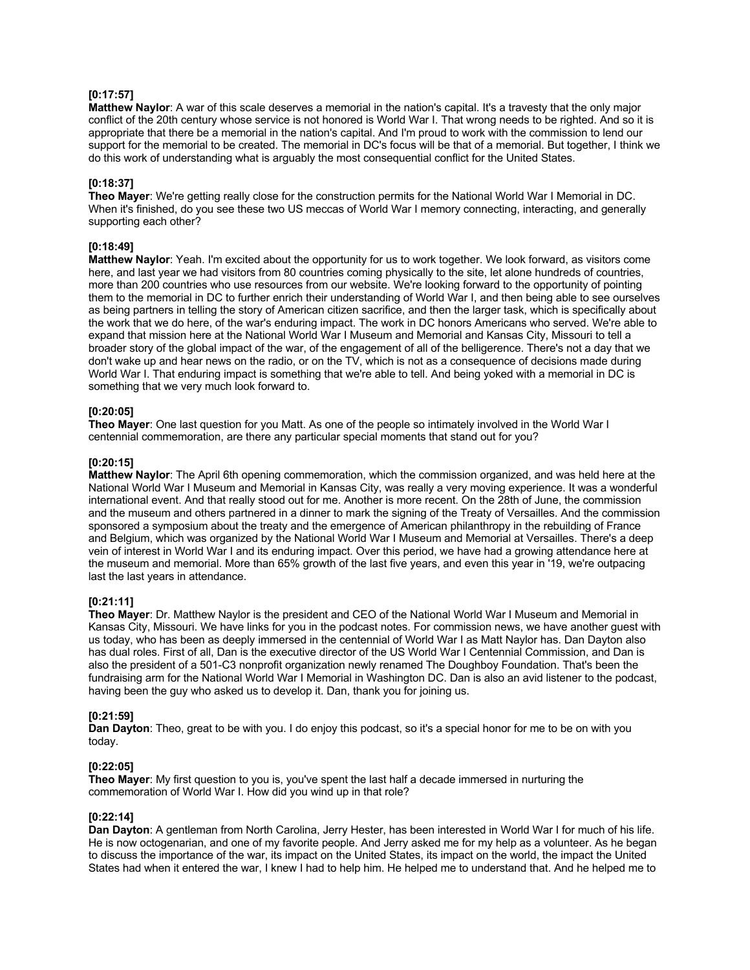# **[0:17:57]**

**Matthew Naylor**: A war of this scale deserves a memorial in the nation's capital. It's a travesty that the only major conflict of the 20th century whose service is not honored is World War I. That wrong needs to be righted. And so it is appropriate that there be a memorial in the nation's capital. And I'm proud to work with the commission to lend our support for the memorial to be created. The memorial in DC's focus will be that of a memorial. But together, I think we do this work of understanding what is arguably the most consequential conflict for the United States.

#### **[0:18:37]**

**Theo Mayer**: We're getting really close for the construction permits for the National World War I Memorial in DC. When it's finished, do you see these two US meccas of World War I memory connecting, interacting, and generally supporting each other?

# **[0:18:49]**

**Matthew Naylor**: Yeah. I'm excited about the opportunity for us to work together. We look forward, as visitors come here, and last year we had visitors from 80 countries coming physically to the site, let alone hundreds of countries, more than 200 countries who use resources from our website. We're looking forward to the opportunity of pointing them to the memorial in DC to further enrich their understanding of World War I, and then being able to see ourselves as being partners in telling the story of American citizen sacrifice, and then the larger task, which is specifically about the work that we do here, of the war's enduring impact. The work in DC honors Americans who served. We're able to expand that mission here at the National World War I Museum and Memorial and Kansas City, Missouri to tell a broader story of the global impact of the war, of the engagement of all of the belligerence. There's not a day that we don't wake up and hear news on the radio, or on the TV, which is not as a consequence of decisions made during World War I. That enduring impact is something that we're able to tell. And being yoked with a memorial in DC is something that we very much look forward to.

## **[0:20:05]**

**Theo Mayer**: One last question for you Matt. As one of the people so intimately involved in the World War I centennial commemoration, are there any particular special moments that stand out for you?

#### **[0:20:15]**

**Matthew Naylor**: The April 6th opening commemoration, which the commission organized, and was held here at the National World War I Museum and Memorial in Kansas City, was really a very moving experience. It was a wonderful international event. And that really stood out for me. Another is more recent. On the 28th of June, the commission and the museum and others partnered in a dinner to mark the signing of the Treaty of Versailles. And the commission sponsored a symposium about the treaty and the emergence of American philanthropy in the rebuilding of France and Belgium, which was organized by the National World War I Museum and Memorial at Versailles. There's a deep vein of interest in World War I and its enduring impact. Over this period, we have had a growing attendance here at the museum and memorial. More than 65% growth of the last five years, and even this year in '19, we're outpacing last the last years in attendance.

# **[0:21:11]**

**Theo Mayer**: Dr. Matthew Naylor is the president and CEO of the National World War I Museum and Memorial in Kansas City, Missouri. We have links for you in the podcast notes. For commission news, we have another guest with us today, who has been as deeply immersed in the centennial of World War I as Matt Naylor has. Dan Dayton also has dual roles. First of all, Dan is the executive director of the US World War I Centennial Commission, and Dan is also the president of a 501-C3 nonprofit organization newly renamed The Doughboy Foundation. That's been the fundraising arm for the National World War I Memorial in Washington DC. Dan is also an avid listener to the podcast, having been the guy who asked us to develop it. Dan, thank you for joining us.

## **[0:21:59]**

**Dan Dayton**: Theo, great to be with you. I do enjoy this podcast, so it's a special honor for me to be on with you today.

## **[0:22:05]**

**Theo Mayer**: My first question to you is, you've spent the last half a decade immersed in nurturing the commemoration of World War I. How did you wind up in that role?

## **[0:22:14]**

**Dan Dayton**: A gentleman from North Carolina, Jerry Hester, has been interested in World War I for much of his life. He is now octogenarian, and one of my favorite people. And Jerry asked me for my help as a volunteer. As he began to discuss the importance of the war, its impact on the United States, its impact on the world, the impact the United States had when it entered the war, I knew I had to help him. He helped me to understand that. And he helped me to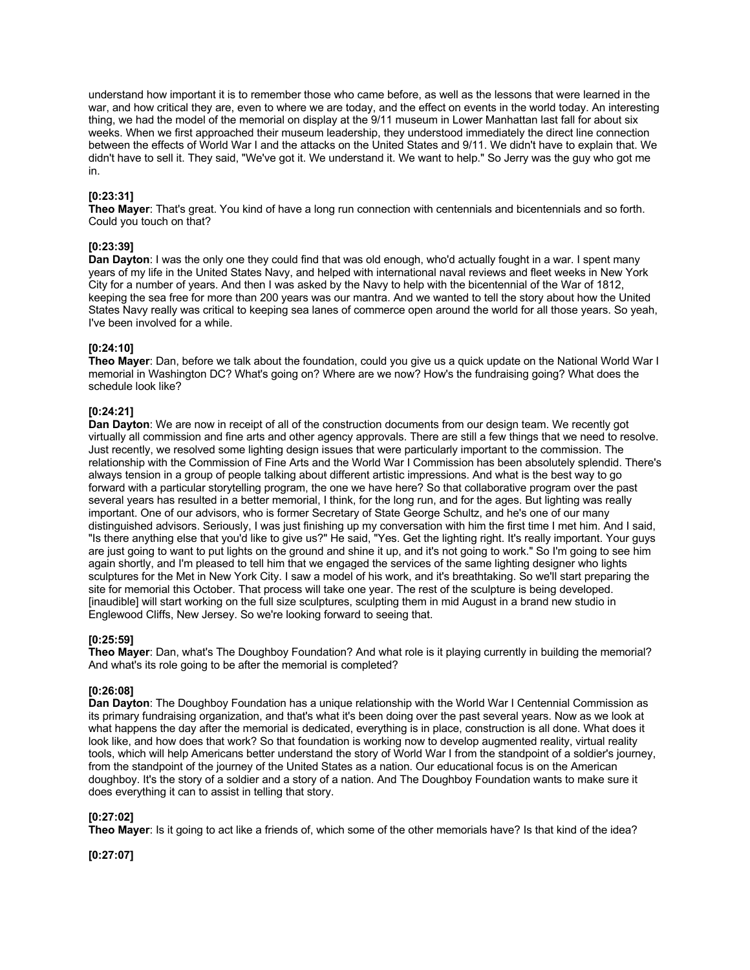understand how important it is to remember those who came before, as well as the lessons that were learned in the war, and how critical they are, even to where we are today, and the effect on events in the world today. An interesting thing, we had the model of the memorial on display at the 9/11 museum in Lower Manhattan last fall for about six weeks. When we first approached their museum leadership, they understood immediately the direct line connection between the effects of World War I and the attacks on the United States and 9/11. We didn't have to explain that. We didn't have to sell it. They said, "We've got it. We understand it. We want to help." So Jerry was the guy who got me in.

## **[0:23:31]**

**Theo Mayer**: That's great. You kind of have a long run connection with centennials and bicentennials and so forth. Could you touch on that?

## **[0:23:39]**

**Dan Dayton**: I was the only one they could find that was old enough, who'd actually fought in a war. I spent many years of my life in the United States Navy, and helped with international naval reviews and fleet weeks in New York City for a number of years. And then I was asked by the Navy to help with the bicentennial of the War of 1812, keeping the sea free for more than 200 years was our mantra. And we wanted to tell the story about how the United States Navy really was critical to keeping sea lanes of commerce open around the world for all those years. So yeah, I've been involved for a while.

## **[0:24:10]**

**Theo Mayer**: Dan, before we talk about the foundation, could you give us a quick update on the National World War I memorial in Washington DC? What's going on? Where are we now? How's the fundraising going? What does the schedule look like?

## **[0:24:21]**

**Dan Dayton**: We are now in receipt of all of the construction documents from our design team. We recently got virtually all commission and fine arts and other agency approvals. There are still a few things that we need to resolve. Just recently, we resolved some lighting design issues that were particularly important to the commission. The relationship with the Commission of Fine Arts and the World War I Commission has been absolutely splendid. There's always tension in a group of people talking about different artistic impressions. And what is the best way to go forward with a particular storytelling program, the one we have here? So that collaborative program over the past several years has resulted in a better memorial, I think, for the long run, and for the ages. But lighting was really important. One of our advisors, who is former Secretary of State George Schultz, and he's one of our many distinguished advisors. Seriously, I was just finishing up my conversation with him the first time I met him. And I said, "Is there anything else that you'd like to give us?" He said, "Yes. Get the lighting right. It's really important. Your guys are just going to want to put lights on the ground and shine it up, and it's not going to work." So I'm going to see him again shortly, and I'm pleased to tell him that we engaged the services of the same lighting designer who lights sculptures for the Met in New York City. I saw a model of his work, and it's breathtaking. So we'll start preparing the site for memorial this October. That process will take one year. The rest of the sculpture is being developed. [inaudible] will start working on the full size sculptures, sculpting them in mid August in a brand new studio in Englewood Cliffs, New Jersey. So we're looking forward to seeing that.

## **[0:25:59]**

**Theo Mayer**: Dan, what's The Doughboy Foundation? And what role is it playing currently in building the memorial? And what's its role going to be after the memorial is completed?

## **[0:26:08]**

**Dan Dayton**: The Doughboy Foundation has a unique relationship with the World War I Centennial Commission as its primary fundraising organization, and that's what it's been doing over the past several years. Now as we look at what happens the day after the memorial is dedicated, everything is in place, construction is all done. What does it look like, and how does that work? So that foundation is working now to develop augmented reality, virtual reality tools, which will help Americans better understand the story of World War I from the standpoint of a soldier's journey, from the standpoint of the journey of the United States as a nation. Our educational focus is on the American doughboy. It's the story of a soldier and a story of a nation. And The Doughboy Foundation wants to make sure it does everything it can to assist in telling that story.

## **[0:27:02]**

**Theo Mayer**: Is it going to act like a friends of, which some of the other memorials have? Is that kind of the idea?

**[0:27:07]**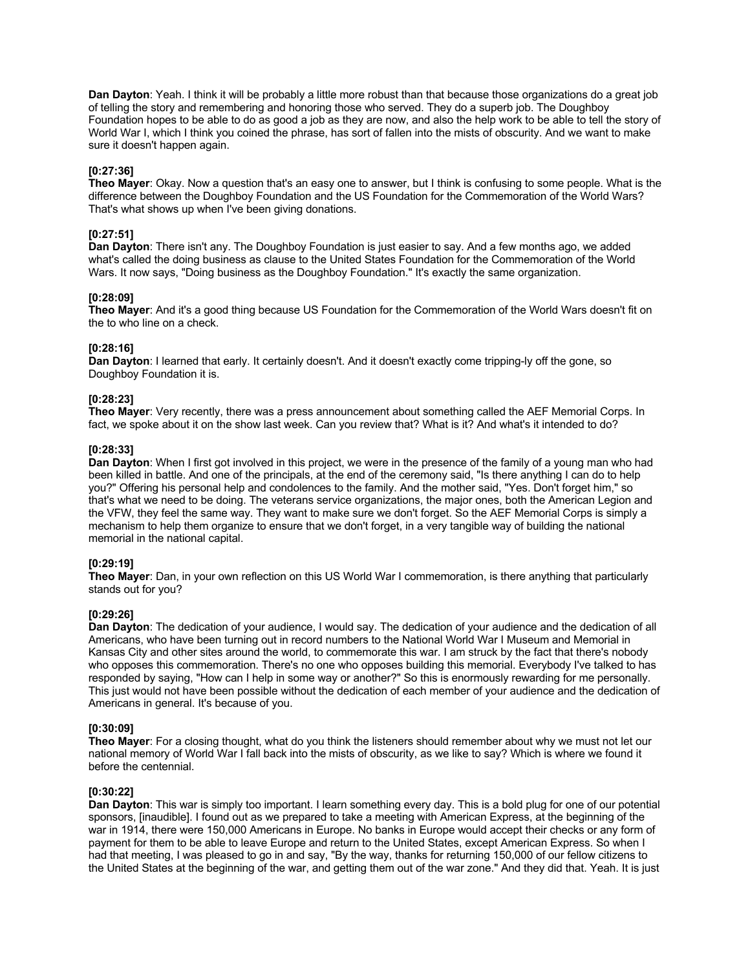**Dan Dayton**: Yeah. I think it will be probably a little more robust than that because those organizations do a great job of telling the story and remembering and honoring those who served. They do a superb job. The Doughboy Foundation hopes to be able to do as good a job as they are now, and also the help work to be able to tell the story of World War I, which I think you coined the phrase, has sort of fallen into the mists of obscurity. And we want to make sure it doesn't happen again.

## **[0:27:36]**

**Theo Mayer**: Okay. Now a question that's an easy one to answer, but I think is confusing to some people. What is the difference between the Doughboy Foundation and the US Foundation for the Commemoration of the World Wars? That's what shows up when I've been giving donations.

## **[0:27:51]**

**Dan Dayton**: There isn't any. The Doughboy Foundation is just easier to say. And a few months ago, we added what's called the doing business as clause to the United States Foundation for the Commemoration of the World Wars. It now says, "Doing business as the Doughboy Foundation." It's exactly the same organization.

## **[0:28:09]**

**Theo Mayer**: And it's a good thing because US Foundation for the Commemoration of the World Wars doesn't fit on the to who line on a check.

## **[0:28:16]**

**Dan Dayton**: I learned that early. It certainly doesn't. And it doesn't exactly come tripping-ly off the gone, so Doughboy Foundation it is.

## **[0:28:23]**

**Theo Mayer**: Very recently, there was a press announcement about something called the AEF Memorial Corps. In fact, we spoke about it on the show last week. Can you review that? What is it? And what's it intended to do?

## **[0:28:33]**

**Dan Dayton**: When I first got involved in this project, we were in the presence of the family of a young man who had been killed in battle. And one of the principals, at the end of the ceremony said, "Is there anything I can do to help you?" Offering his personal help and condolences to the family. And the mother said, "Yes. Don't forget him," so that's what we need to be doing. The veterans service organizations, the major ones, both the American Legion and the VFW, they feel the same way. They want to make sure we don't forget. So the AEF Memorial Corps is simply a mechanism to help them organize to ensure that we don't forget, in a very tangible way of building the national memorial in the national capital.

## **[0:29:19]**

**Theo Mayer**: Dan, in your own reflection on this US World War I commemoration, is there anything that particularly stands out for you?

## **[0:29:26]**

**Dan Dayton**: The dedication of your audience, I would say. The dedication of your audience and the dedication of all Americans, who have been turning out in record numbers to the National World War I Museum and Memorial in Kansas City and other sites around the world, to commemorate this war. I am struck by the fact that there's nobody who opposes this commemoration. There's no one who opposes building this memorial. Everybody I've talked to has responded by saying, "How can I help in some way or another?" So this is enormously rewarding for me personally. This just would not have been possible without the dedication of each member of your audience and the dedication of Americans in general. It's because of you.

## **[0:30:09]**

**Theo Mayer**: For a closing thought, what do you think the listeners should remember about why we must not let our national memory of World War I fall back into the mists of obscurity, as we like to say? Which is where we found it before the centennial.

## **[0:30:22]**

**Dan Dayton**: This war is simply too important. I learn something every day. This is a bold plug for one of our potential sponsors, [inaudible]. I found out as we prepared to take a meeting with American Express, at the beginning of the war in 1914, there were 150,000 Americans in Europe. No banks in Europe would accept their checks or any form of payment for them to be able to leave Europe and return to the United States, except American Express. So when I had that meeting, I was pleased to go in and say, "By the way, thanks for returning 150,000 of our fellow citizens to the United States at the beginning of the war, and getting them out of the war zone." And they did that. Yeah. It is just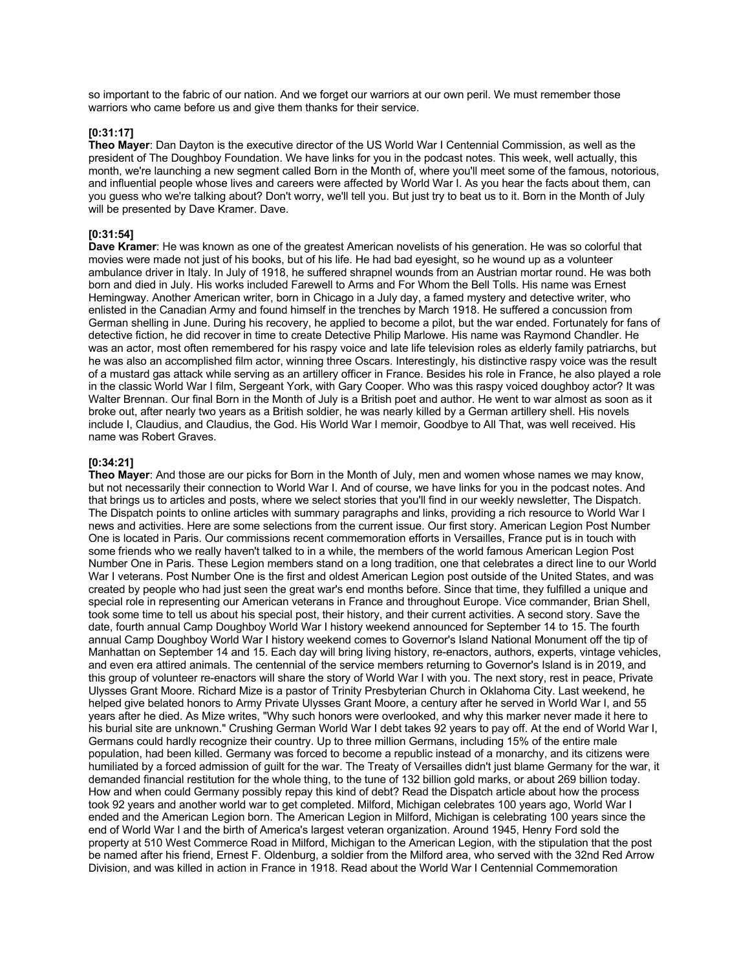so important to the fabric of our nation. And we forget our warriors at our own peril. We must remember those warriors who came before us and give them thanks for their service.

#### **[0:31:17]**

**Theo Mayer**: Dan Dayton is the executive director of the US World War I Centennial Commission, as well as the president of The Doughboy Foundation. We have links for you in the podcast notes. This week, well actually, this month, we're launching a new segment called Born in the Month of, where you'll meet some of the famous, notorious, and influential people whose lives and careers were affected by World War I. As you hear the facts about them, can you guess who we're talking about? Don't worry, we'll tell you. But just try to beat us to it. Born in the Month of July will be presented by Dave Kramer. Dave.

## **[0:31:54]**

**Dave Kramer**: He was known as one of the greatest American novelists of his generation. He was so colorful that movies were made not just of his books, but of his life. He had bad eyesight, so he wound up as a volunteer ambulance driver in Italy. In July of 1918, he suffered shrapnel wounds from an Austrian mortar round. He was both born and died in July. His works included Farewell to Arms and For Whom the Bell Tolls. His name was Ernest Hemingway. Another American writer, born in Chicago in a July day, a famed mystery and detective writer, who enlisted in the Canadian Army and found himself in the trenches by March 1918. He suffered a concussion from German shelling in June. During his recovery, he applied to become a pilot, but the war ended. Fortunately for fans of detective fiction, he did recover in time to create Detective Philip Marlowe. His name was Raymond Chandler. He was an actor, most often remembered for his raspy voice and late life television roles as elderly family patriarchs, but he was also an accomplished film actor, winning three Oscars. Interestingly, his distinctive raspy voice was the result of a mustard gas attack while serving as an artillery officer in France. Besides his role in France, he also played a role in the classic World War I film, Sergeant York, with Gary Cooper. Who was this raspy voiced doughboy actor? It was Walter Brennan. Our final Born in the Month of July is a British poet and author. He went to war almost as soon as it broke out, after nearly two years as a British soldier, he was nearly killed by a German artillery shell. His novels include I, Claudius, and Claudius, the God. His World War I memoir, Goodbye to All That, was well received. His name was Robert Graves.

#### **[0:34:21]**

**Theo Mayer**: And those are our picks for Born in the Month of July, men and women whose names we may know, but not necessarily their connection to World War I. And of course, we have links for you in the podcast notes. And that brings us to articles and posts, where we select stories that you'll find in our weekly newsletter, The Dispatch. The Dispatch points to online articles with summary paragraphs and links, providing a rich resource to World War I news and activities. Here are some selections from the current issue. Our first story. American Legion Post Number One is located in Paris. Our commissions recent commemoration efforts in Versailles, France put is in touch with some friends who we really haven't talked to in a while, the members of the world famous American Legion Post Number One in Paris. These Legion members stand on a long tradition, one that celebrates a direct line to our World War I veterans. Post Number One is the first and oldest American Legion post outside of the United States, and was created by people who had just seen the great war's end months before. Since that time, they fulfilled a unique and special role in representing our American veterans in France and throughout Europe. Vice commander, Brian Shell, took some time to tell us about his special post, their history, and their current activities. A second story. Save the date, fourth annual Camp Doughboy World War I history weekend announced for September 14 to 15. The fourth annual Camp Doughboy World War I history weekend comes to Governor's Island National Monument off the tip of Manhattan on September 14 and 15. Each day will bring living history, re-enactors, authors, experts, vintage vehicles, and even era attired animals. The centennial of the service members returning to Governor's Island is in 2019, and this group of volunteer re-enactors will share the story of World War I with you. The next story, rest in peace, Private Ulysses Grant Moore. Richard Mize is a pastor of Trinity Presbyterian Church in Oklahoma City. Last weekend, he helped give belated honors to Army Private Ulysses Grant Moore, a century after he served in World War I, and 55 years after he died. As Mize writes, "Why such honors were overlooked, and why this marker never made it here to his burial site are unknown." Crushing German World War I debt takes 92 years to pay off. At the end of World War I, Germans could hardly recognize their country. Up to three million Germans, including 15% of the entire male population, had been killed. Germany was forced to become a republic instead of a monarchy, and its citizens were humiliated by a forced admission of guilt for the war. The Treaty of Versailles didn't just blame Germany for the war, it demanded financial restitution for the whole thing, to the tune of 132 billion gold marks, or about 269 billion today. How and when could Germany possibly repay this kind of debt? Read the Dispatch article about how the process took 92 years and another world war to get completed. Milford, Michigan celebrates 100 years ago, World War I ended and the American Legion born. The American Legion in Milford, Michigan is celebrating 100 years since the end of World War I and the birth of America's largest veteran organization. Around 1945, Henry Ford sold the property at 510 West Commerce Road in Milford, Michigan to the American Legion, with the stipulation that the post be named after his friend, Ernest F. Oldenburg, a soldier from the Milford area, who served with the 32nd Red Arrow Division, and was killed in action in France in 1918. Read about the World War I Centennial Commemoration